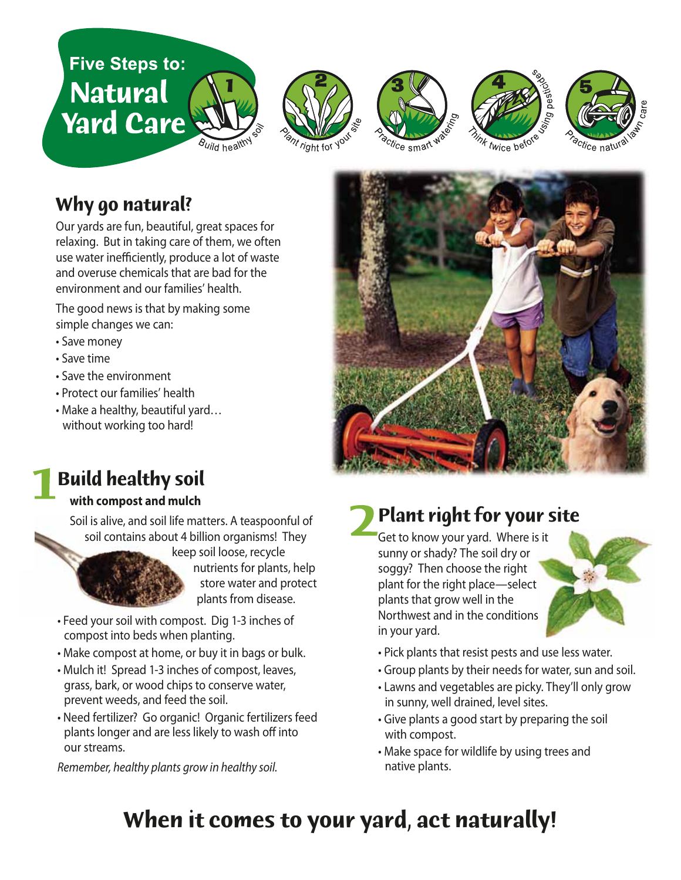









## **Why go natural?**

Our yards are fun, beautiful, great spaces for relaxing. But in taking care of them, we often use water inefficiently, produce a lot of waste and overuse chemicals that are bad for the environment and our families' health.

The good news is that by making some simple changes we can:

- Save money
- Save time
- Save the environment
- Protect our families' health
- Make a healthy, beautiful yard… without working too hard!



# **Build healthy soil**

#### **with compost and mulch**

Soil is alive, and soil life matters. A teaspoonful of soil contains about 4 billion organisms! They



keep soil loose, recycle nutrients for plants, help store water and protect plants from disease.

- Feed your soil with compost. Dig 1-3 inches of compost into beds when planting.
- Make compost at home, or buy it in bags or bulk.
- Mulch it! Spread 1-3 inches of compost, leaves, grass, bark, or wood chips to conserve water, prevent weeds, and feed the soil.
- Need fertilizer? Go organic! Organic fertilizers feed plants longer and are less likely to wash off into our streams.

*Remember, healthy plants grow in healthy soil.*

# **Plant right for your site**

Get to know your yard. Where is it sunny or shady? The soil dry or soggy? Then choose the right plant for the right place—select plants that grow well in the Northwest and in the conditions in your yard.



- Pick plants that resist pests and use less water.
- Group plants by their needs for water, sun and soil.
- Lawns and vegetables are picky. They'll only grow in sunny, well drained, level sites.
- Give plants a good start by preparing the soil with compost.
- Make space for wildlife by using trees and native plants.

# **When it comes to your yard, act naturally!**